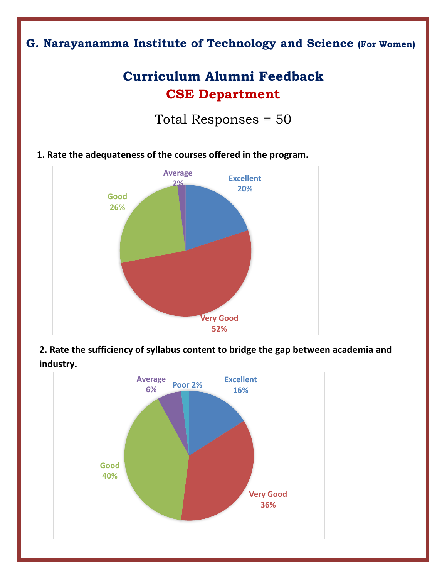## **G. Narayanamma Institute of Technology and Science (For Women)**

## **Curriculum Alumni Feedback CSE Department**

Total Responses = 50

**1. Rate the adequateness of the courses offered in the program.**



**2. Rate the sufficiency of syllabus content to bridge the gap between academia and industry.**

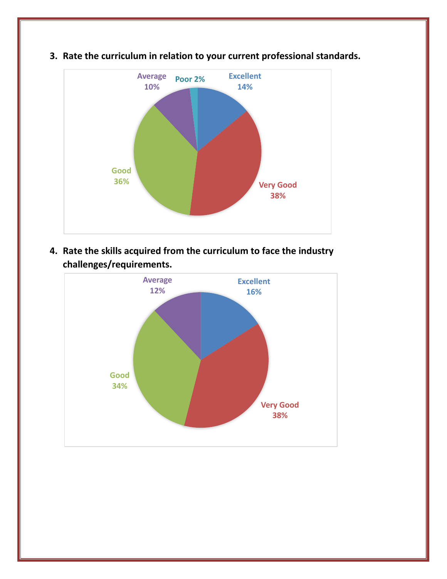

**3. Rate the curriculum in relation to your current professional standards.**

**4. Rate the skills acquired from the curriculum to face the industry challenges/requirements.**

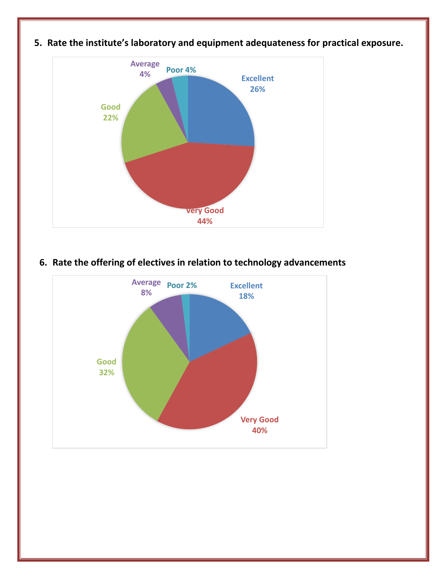

**5. Rate the institute's laboratory and equipment adequateness for practical exposure.**



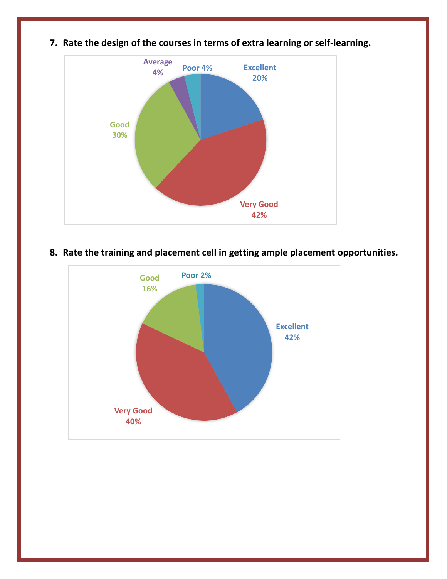

**7. Rate the design of the courses in terms of extra learning or self-learning.**

**8. Rate the training and placement cell in getting ample placement opportunities.**